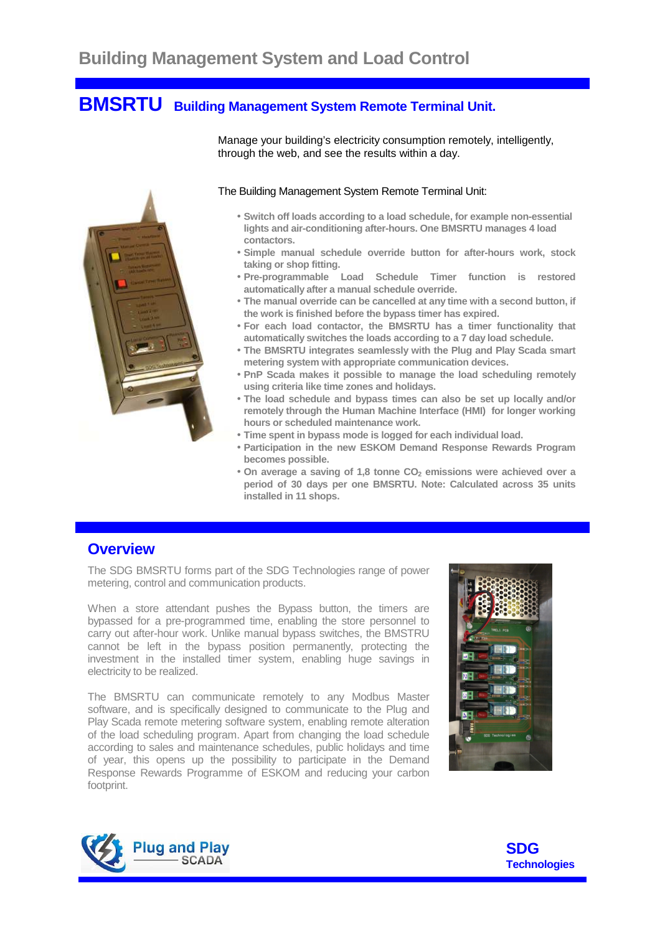# **BMSRTU Building Management System Remote Terminal Unit.**



#### Manage your building's electricity consumption remotely, intelligently, through the web, and see the results within a day.

#### The Building Management System Remote Terminal Unit:

- **Switch off loads according to a load schedule, for example non-essential lights and air-conditioning after-hours. One BMSRTU manages 4 load contactors.**
- **Simple manual schedule override button for after-hours work, stock taking or shop fitting.**
- **Pre-programmable Load Schedule Timer function is restored automatically after a manual schedule override.**
- **The manual override can be cancelled at any time with a second button, if the work is finished before the bypass timer has expired.**
- **For each load contactor, the BMSRTU has a timer functionality that automatically switches the loads according to a 7 day load schedule.**
- **The BMSRTU integrates seamlessly with the Plug and Play Scada smart metering system with appropriate communication devices.**
- **PnP Scada makes it possible to manage the load scheduling remotely using criteria like time zones and holidays.**
- **The load schedule and bypass times can also be set up locally and/or remotely through the Human Machine Interface (HMI) for longer working hours or scheduled maintenance work.**
- **Time spent in bypass mode is logged for each individual load.**
- **Participation in the new ESKOM Demand Response Rewards Program becomes possible.**
- **On average a saving of 1,8 tonne CO2 emissions were achieved over a period of 30 days per one BMSRTU. Note: Calculated across 35 units installed in 11 shops.**

#### **Overview**

The SDG BMSRTU forms part of the SDG Technologies range of power metering, control and communication products.

When a store attendant pushes the Bypass button, the timers are bypassed for a pre-programmed time, enabling the store personnel to carry out after-hour work. Unlike manual bypass switches, the BMSTRU cannot be left in the bypass position permanently, protecting the investment in the installed timer system, enabling huge savings in electricity to be realized.

The BMSRTU can communicate remotely to any Modbus Master software, and is specifically designed to communicate to the Plug and Play Scada remote metering software system, enabling remote alteration of the load scheduling program. Apart from changing the load schedule according to sales and maintenance schedules, public holidays and time of year, this opens up the possibility to participate in the Demand Response Rewards Programme of ESKOM and reducing your carbon footprint.





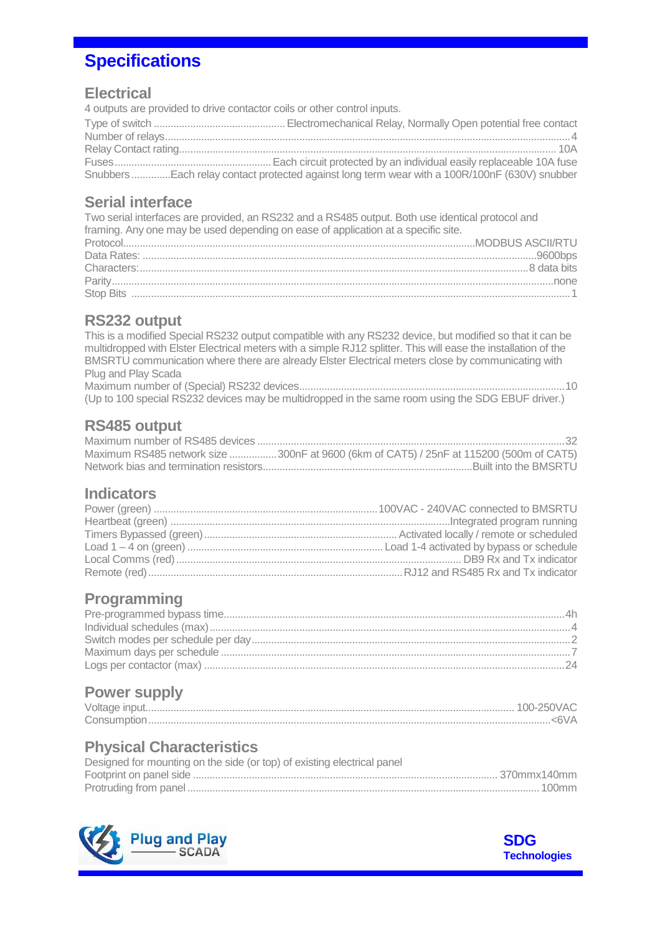## **Specifications**

#### **Electrical**

4 outputs are provided to drive contactor coils or other control inputs. Type of switch ............................................... Electromechanical Relay, Normally Open potential free contact Number of relays.................................................................................................................................................4 Relay Contact rating....................................................................................................................................... 10A Fuses........................................................Each circuit protected by an individual easily replaceable 10A fuse Snubbers..............Each relay contact protected against long term wear with a 100R/100nF (630V) snubber

### **Serial interface**

Two serial interfaces are provided, an RS232 and a RS485 output. Both use identical protocol and framing. Any one may be used depending on ease of application at a specific site. Protocol..............................................................................................................................MODBUS ASCII/RTU Data Rates: .............................................................................................................................................9600bps Characters:...........................................................................................................................................8 data bits Parity..............................................................................................................................................................none

#### **RS232 output**

This is a modified Special RS232 output compatible with any RS232 device, but modified so that it can be multidropped with Elster Electrical meters with a simple RJ12 splitter. This will ease the installation of the BMSRTU communication where there are already Elster Electrical meters close by communicating with Plug and Play Scada

Stop Bits .............................................................................................................................................................1

Maximum number of (Special) RS232 devices...............................................................................................10 (Up to 100 special RS232 devices may be multidropped in the same room using the SDG EBUF driver.)

#### **RS485 output**

| Maximum RS485 network size 300nF at 9600 (6km of CAT5) / 25nF at 115200 (500m of CAT5) |
|----------------------------------------------------------------------------------------|
|                                                                                        |

#### **Indicators**

#### **Programming**

### **Power supply**

#### **Physical Characteristics**

| Designed for mounting on the side (or top) of existing electrical panel |  |
|-------------------------------------------------------------------------|--|
|                                                                         |  |
|                                                                         |  |